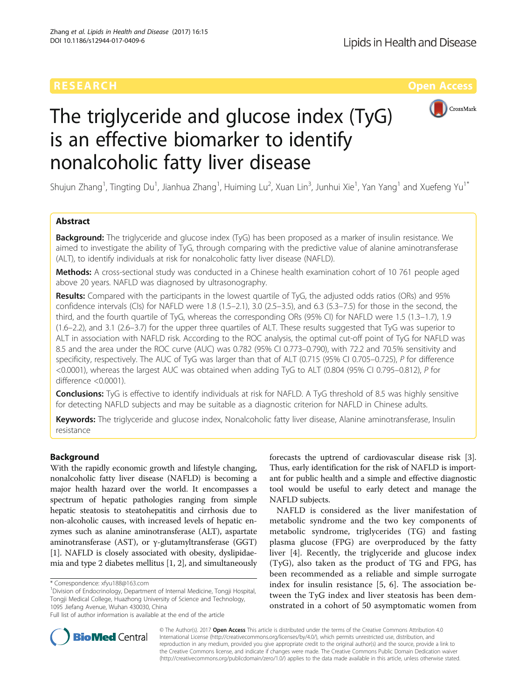

# The triglyceride and glucose index (TyG) is an effective biomarker to identify nonalcoholic fatty liver disease

Shujun Zhang<sup>1</sup>, Tingting Du<sup>1</sup>, Jianhua Zhang<sup>1</sup>, Huiming Lu<sup>2</sup>, Xuan Lin<sup>3</sup>, Junhui Xie<sup>1</sup>, Yan Yang<sup>1</sup> and Xuefeng Yu<sup>1\*</sup>

# Abstract

**Background:** The triglyceride and glucose index (TyG) has been proposed as a marker of insulin resistance. We aimed to investigate the ability of TyG, through comparing with the predictive value of alanine aminotransferase (ALT), to identify individuals at risk for nonalcoholic fatty liver disease (NAFLD).

Methods: A cross-sectional study was conducted in a Chinese health examination cohort of 10 761 people aged above 20 years. NAFLD was diagnosed by ultrasonography.

Results: Compared with the participants in the lowest quartile of TyG, the adjusted odds ratios (ORs) and 95% confidence intervals (CIs) for NAFLD were 1.8 (1.5–2.1), 3.0 (2.5–3.5), and 6.3 (5.3–7.5) for those in the second, the third, and the fourth quartile of TyG, whereas the corresponding ORs (95% CI) for NAFLD were 1.5 (1.3–1.7), 1.9 (1.6–2.2), and 3.1 (2.6–3.7) for the upper three quartiles of ALT. These results suggested that TyG was superior to ALT in association with NAFLD risk. According to the ROC analysis, the optimal cut-off point of TyG for NAFLD was 8.5 and the area under the ROC curve (AUC) was 0.782 (95% CI 0.773–0.790), with 72.2 and 70.5% sensitivity and specificity, respectively. The AUC of TyG was larger than that of ALT (0.715 (95% CI 0.705–0.725), P for difference <0.0001), whereas the largest AUC was obtained when adding TyG to ALT (0.804 (95% CI 0.795–0.812), P for difference <0.0001).

**Conclusions:** TyG is effective to identify individuals at risk for NAFLD. A TyG threshold of 8.5 was highly sensitive for detecting NAFLD subjects and may be suitable as a diagnostic criterion for NAFLD in Chinese adults.

Keywords: The triglyceride and glucose index, Nonalcoholic fatty liver disease, Alanine aminotransferase, Insulin resistance

# Background

With the rapidly economic growth and lifestyle changing, nonalcoholic fatty liver disease (NAFLD) is becoming a major health hazard over the world. It encompasses a spectrum of hepatic pathologies ranging from simple hepatic steatosis to steatohepatitis and cirrhosis due to non-alcoholic causes, with increased levels of hepatic enzymes such as alanine aminotransferase (ALT), aspartate aminotransferase (AST), or γ-glutamyltransferase (GGT) [[1\]](#page-6-0). NAFLD is closely associated with obesity, dyslipidaemia and type 2 diabetes mellitus [\[1](#page-6-0), [2\]](#page-6-0), and simultaneously

<sup>1</sup> Division of Endocrinology, Department of Internal Medicine, Tongji Hospital, Tongji Medical College, Huazhong University of Science and Technology, 1095 Jiefang Avenue, Wuhan 430030, China

forecasts the uptrend of cardiovascular disease risk [[3](#page-7-0)]. Thus, early identification for the risk of NAFLD is important for public health and a simple and effective diagnostic tool would be useful to early detect and manage the NAFLD subjects.

NAFLD is considered as the liver manifestation of metabolic syndrome and the two key components of metabolic syndrome, triglycerides (TG) and fasting plasma glucose (FPG) are overproduced by the fatty liver [\[4](#page-7-0)]. Recently, the triglyceride and glucose index (TyG), also taken as the product of TG and FPG, has been recommended as a reliable and simple surrogate index for insulin resistance [[5, 6](#page-7-0)]. The association between the TyG index and liver steatosis has been demonstrated in a cohort of 50 asymptomatic women from



© The Author(s). 2017 **Open Access** This article is distributed under the terms of the Creative Commons Attribution 4.0 International License [\(http://creativecommons.org/licenses/by/4.0/](http://creativecommons.org/licenses/by/4.0/)), which permits unrestricted use, distribution, and reproduction in any medium, provided you give appropriate credit to the original author(s) and the source, provide a link to the Creative Commons license, and indicate if changes were made. The Creative Commons Public Domain Dedication waiver [\(http://creativecommons.org/publicdomain/zero/1.0/](http://creativecommons.org/publicdomain/zero/1.0/)) applies to the data made available in this article, unless otherwise stated.

<sup>\*</sup> Correspondence: [xfyu188@163.com](mailto:xfyu188@163.com) <sup>1</sup>

Full list of author information is available at the end of the article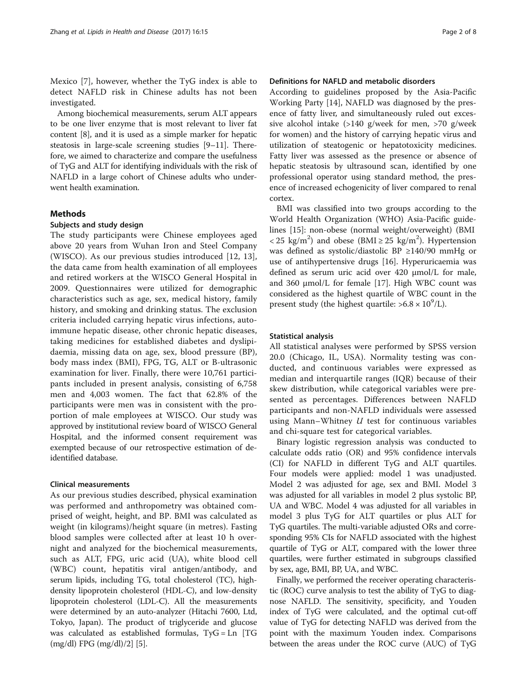Mexico [[7\]](#page-7-0), however, whether the TyG index is able to detect NAFLD risk in Chinese adults has not been investigated.

Among biochemical measurements, serum ALT appears to be one liver enzyme that is most relevant to liver fat content [[8](#page-7-0)], and it is used as a simple marker for hepatic steatosis in large-scale screening studies [[9](#page-7-0)–[11](#page-7-0)]. Therefore, we aimed to characterize and compare the usefulness of TyG and ALT for identifying individuals with the risk of NAFLD in a large cohort of Chinese adults who underwent health examination.

#### Methods

#### Subjects and study design

The study participants were Chinese employees aged above 20 years from Wuhan Iron and Steel Company (WISCO). As our previous studies introduced [\[12](#page-7-0), [13](#page-7-0)], the data came from health examination of all employees and retired workers at the WISCO General Hospital in 2009. Questionnaires were utilized for demographic characteristics such as age, sex, medical history, family history, and smoking and drinking status. The exclusion criteria included carrying hepatic virus infections, autoimmune hepatic disease, other chronic hepatic diseases, taking medicines for established diabetes and dyslipidaemia, missing data on age, sex, blood pressure (BP), body mass index (BMI), FPG, TG, ALT or B-ultrasonic examination for liver. Finally, there were 10,761 participants included in present analysis, consisting of 6,758 men and 4,003 women. The fact that 62.8% of the participants were men was in consistent with the proportion of male employees at WISCO. Our study was approved by institutional review board of WISCO General Hospital, and the informed consent requirement was exempted because of our retrospective estimation of deidentified database.

#### Clinical measurements

As our previous studies described, physical examination was performed and anthropometry was obtained comprised of weight, height, and BP. BMI was calculated as weight (in kilograms)/height square (in metres). Fasting blood samples were collected after at least 10 h overnight and analyzed for the biochemical measurements, such as ALT, FPG, uric acid (UA), white blood cell (WBC) count, hepatitis viral antigen/antibody, and serum lipids, including TG, total cholesterol (TC), highdensity lipoprotein cholesterol (HDL-C), and low-density lipoprotein cholesterol (LDL-C). All the measurements were determined by an auto-analyzer (Hitachi 7600, Ltd, Tokyo, Japan). The product of triglyceride and glucose was calculated as established formulas, TyG = Ln [TG (mg/dl) FPG (mg/dl)/2] [[5](#page-7-0)].

# Definitions for NAFLD and metabolic disorders

According to guidelines proposed by the Asia-Pacific Working Party [\[14\]](#page-7-0), NAFLD was diagnosed by the presence of fatty liver, and simultaneously ruled out excessive alcohol intake (>140 g/week for men, >70 g/week for women) and the history of carrying hepatic virus and utilization of steatogenic or hepatotoxicity medicines. Fatty liver was assessed as the presence or absence of hepatic steatosis by ultrasound scan, identified by one professional operator using standard method, the presence of increased echogenicity of liver compared to renal cortex.

BMI was classified into two groups according to the World Health Organization (WHO) Asia-Pacific guidelines [[15](#page-7-0)]: non-obese (normal weight/overweight) (BMI < 25 kg/m<sup>2</sup>) and obese (BMI  $\geq$  25 kg/m<sup>2</sup>). Hypertension was defined as systolic/diastolic BP ≥140/90 mmHg or use of antihypertensive drugs [\[16\]](#page-7-0). Hyperuricaemia was defined as serum uric acid over 420 μmol/L for male, and 360 μmol/L for female [\[17](#page-7-0)]. High WBC count was considered as the highest quartile of WBC count in the present study (the highest quartile:  $>6.8 \times 10^9$ /L).

# Statistical analysis

All statistical analyses were performed by SPSS version 20.0 (Chicago, IL, USA). Normality testing was conducted, and continuous variables were expressed as median and interquartile ranges (IQR) because of their skew distribution, while categorical variables were presented as percentages. Differences between NAFLD participants and non-NAFLD individuals were assessed using Mann–Whitney  $U$  test for continuous variables and chi-square test for categorical variables.

Binary logistic regression analysis was conducted to calculate odds ratio (OR) and 95% confidence intervals (CI) for NAFLD in different TyG and ALT quartiles. Four models were applied: model 1 was unadjusted. Model 2 was adjusted for age, sex and BMI. Model 3 was adjusted for all variables in model 2 plus systolic BP, UA and WBC. Model 4 was adjusted for all variables in model 3 plus TyG for ALT quartiles or plus ALT for TyG quartiles. The multi-variable adjusted ORs and corresponding 95% CIs for NAFLD associated with the highest quartile of TyG or ALT, compared with the lower three quartiles, were further estimated in subgroups classified by sex, age, BMI, BP, UA, and WBC.

Finally, we performed the receiver operating characteristic (ROC) curve analysis to test the ability of TyG to diagnose NAFLD. The sensitivity, specificity, and Youden index of TyG were calculated, and the optimal cut-off value of TyG for detecting NAFLD was derived from the point with the maximum Youden index. Comparisons between the areas under the ROC curve (AUC) of TyG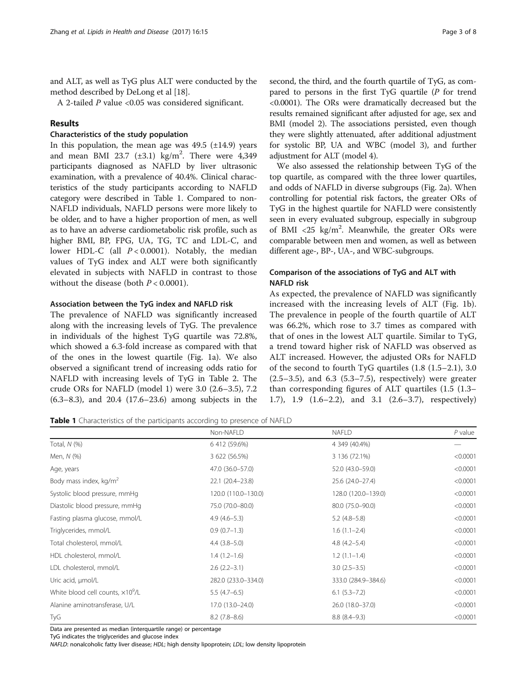and ALT, as well as TyG plus ALT were conducted by the method described by DeLong et al [[18](#page-7-0)].

A 2-tailed P value <0.05 was considered significant.

# Results

## Characteristics of the study population

In this population, the mean age was  $49.5$  ( $\pm$ 14.9) years and mean BMI 23.7  $(\pm 3.1)$  kg/m<sup>2</sup>. There were 4,349 participants diagnosed as NAFLD by liver ultrasonic examination, with a prevalence of 40.4%. Clinical characteristics of the study participants according to NAFLD category were described in Table 1. Compared to non-NAFLD individuals, NAFLD persons were more likely to be older, and to have a higher proportion of men, as well as to have an adverse cardiometabolic risk profile, such as higher BMI, BP, FPG, UA, TG, TC and LDL-C, and lower HDL-C (all  $P < 0.0001$ ). Notably, the median values of TyG index and ALT were both significantly elevated in subjects with NAFLD in contrast to those without the disease (both  $P < 0.0001$ ).

## Association between the TyG index and NAFLD risk

The prevalence of NAFLD was significantly increased along with the increasing levels of TyG. The prevalence in individuals of the highest TyG quartile was 72.8%, which showed a 6.3-fold increase as compared with that of the ones in the lowest quartile (Fig. [1a](#page-3-0)). We also observed a significant trend of increasing odds ratio for NAFLD with increasing levels of TyG in Table [2.](#page-3-0) The crude ORs for NAFLD (model 1) were 3.0 (2.6–3.5), 7.2 (6.3–8.3), and 20.4 (17.6–23.6) among subjects in the second, the third, and the fourth quartile of TyG, as compared to persons in the first TyG quartile (P for trend <0.0001). The ORs were dramatically decreased but the results remained significant after adjusted for age, sex and BMI (model 2). The associations persisted, even though they were slightly attenuated, after additional adjustment for systolic BP, UA and WBC (model 3), and further adjustment for ALT (model 4).

We also assessed the relationship between TyG of the top quartile, as compared with the three lower quartiles, and odds of NAFLD in diverse subgroups (Fig. [2a\)](#page-4-0). When controlling for potential risk factors, the greater ORs of TyG in the highest quartile for NAFLD were consistently seen in every evaluated subgroup, especially in subgroup of BMI <25 kg/m<sup>2</sup>. Meanwhile, the greater ORs were comparable between men and women, as well as between different age-, BP-, UA-, and WBC-subgroups.

# Comparison of the associations of TyG and ALT with NAFLD risk

As expected, the prevalence of NAFLD was significantly increased with the increasing levels of ALT (Fig. [1b](#page-3-0)). The prevalence in people of the fourth quartile of ALT was 66.2%, which rose to 3.7 times as compared with that of ones in the lowest ALT quartile. Similar to TyG, a trend toward higher risk of NAFLD was observed as ALT increased. However, the adjusted ORs for NAFLD of the second to fourth TyG quartiles (1.8 (1.5–2.1), 3.0  $(2.5-3.5)$ , and  $6.3$   $(5.3-7.5)$ , respectively) were greater than corresponding figures of ALT quartiles (1.5 (1.3– 1.7), 1.9 (1.6–2.2), and 3.1 (2.6–3.7), respectively)

Table 1 Characteristics of the participants according to presence of NAFLD

|                                           | Non-NAFLD           | <b>NAFLD</b>        | $P$ value |
|-------------------------------------------|---------------------|---------------------|-----------|
| Total, $N$ $(\%)$                         | 6 412 (59.6%)       | 4 349 (40.4%)       |           |
| Men, N (%)                                | 3 622 (56.5%)       | 3 136 (72.1%)       | < 0.0001  |
| Age, years                                | 47.0 (36.0-57.0)    | 52.0 (43.0-59.0)    | < 0.0001  |
| Body mass index, $kg/m^2$                 | 22.1 (20.4-23.8)    | 25.6 (24.0-27.4)    | < 0.0001  |
| Systolic blood pressure, mmHg             | 120.0 (110.0-130.0) | 128.0 (120.0-139.0) | < 0.0001  |
| Diastolic blood pressure, mmHg            | 75.0 (70.0-80.0)    | 80.0 (75.0-90.0)    | < 0.0001  |
| Fasting plasma glucose, mmol/L            | $4.9(4.6-5.3)$      | $5.2(4.8-5.8)$      | < 0.0001  |
| Triglycerides, mmol/L                     | $0.9(0.7-1.3)$      | $1.6(1.1-2.4)$      | < 0.0001  |
| Total cholesterol, mmol/L                 | $4.4$ $(3.8-5.0)$   | $4.8(4.2 - 5.4)$    | < 0.0001  |
| HDL cholesterol, mmol/L                   | $1.4(1.2-1.6)$      | $1.2(1.1-1.4)$      | < 0.0001  |
| LDL cholesterol, mmol/L                   | $2.6(2.2-3.1)$      | $3.0(2.5-3.5)$      | < 0.0001  |
| Uric acid, µmol/L                         | 282.0 (233.0-334.0) | 333.0 (284.9-384.6) | < 0.0001  |
| White blood cell counts, $\times 10^9$ /L | $5.5(4.7-6.5)$      | $6.1(5.3 - 7.2)$    | < 0.0001  |
| Alanine aminotransferase, U/L             | 17.0 (13.0-24.0)    | 26.0 (18.0-37.0)    | < 0.0001  |
| TyG                                       | $8.2(7.8-8.6)$      | $8.8(8.4-9.3)$      | < 0.0001  |

Data are presented as median (interquartile range) or percentage

TyG indicates the triglycerides and glucose index

NAFLD: nonalcoholic fatty liver disease; HDL; high density lipoprotein; LDL; low density lipoprotein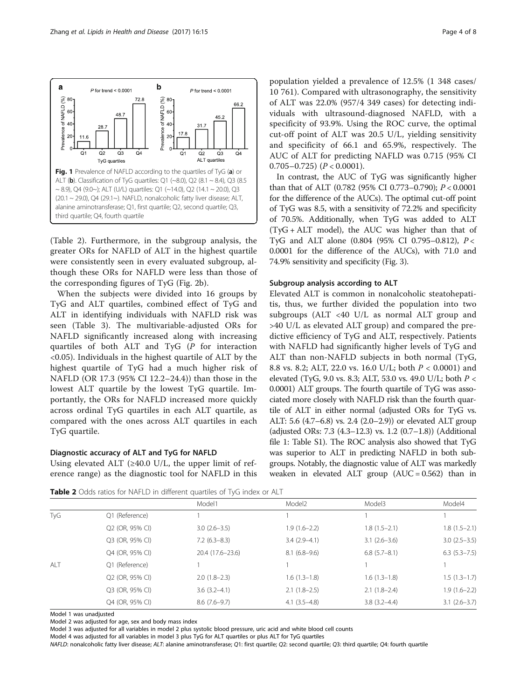<span id="page-3-0"></span>

(Table 2). Furthermore, in the subgroup analysis, the greater ORs for NAFLD of ALT in the highest quartile were consistently seen in every evaluated subgroup, although these ORs for NAFLD were less than those of the corresponding figures of TyG (Fig. [2b](#page-4-0)).

When the subjects were divided into 16 groups by TyG and ALT quartiles, combined effect of TyG and ALT in identifying individuals with NAFLD risk was seen (Table [3](#page-4-0)). The multivariable-adjusted ORs for NAFLD significantly increased along with increasing quartiles of both ALT and TyG (P for interaction <0.05). Individuals in the highest quartile of ALT by the highest quartile of TyG had a much higher risk of NAFLD (OR 17.3 (95% CI 12.2–24.4)) than those in the lowest ALT quartile by the lowest TyG quartile. Importantly, the ORs for NAFLD increased more quickly across ordinal TyG quartiles in each ALT quartile, as compared with the ones across ALT quartiles in each TyG quartile.

# Diagnostic accuracy of ALT and TyG for NAFLD

Using elevated ALT ( $\geq$ 40.0 U/L, the upper limit of reference range) as the diagnostic tool for NAFLD in this

population yielded a prevalence of 12.5% (1 348 cases/ 10 761). Compared with ultrasonography, the sensitivity of ALT was 22.0% (957/4 349 cases) for detecting individuals with ultrasound-diagnosed NAFLD, with a specificity of 93.9%. Using the ROC curve, the optimal cut-off point of ALT was 20.5 U/L, yielding sensitivity and specificity of 66.1 and 65.9%, respectively. The AUC of ALT for predicting NAFLD was 0.715 (95% CI  $0.705 - 0.725$ ) ( $P < 0.0001$ ).

In contrast, the AUC of TyG was significantly higher than that of ALT (0.782 (95% CI 0.773–0.790); P < 0.0001 for the difference of the AUCs). The optimal cut-off point of TyG was 8.5, with a sensitivity of 72.2% and specificity of 70.5%. Additionally, when TyG was added to ALT (TyG + ALT model), the AUC was higher than that of TyG and ALT alone (0.804 (95% CI 0.795–0.812), P < 0.0001 for the difference of the AUCs), with 71.0 and 74.9% sensitivity and specificity (Fig. [3\)](#page-5-0).

#### Subgroup analysis according to ALT

Elevated ALT is common in nonalcoholic steatohepatitis, thus, we further divided the population into two subgroups (ALT <40 U/L as normal ALT group and >40 U/L as elevated ALT group) and compared the predictive efficiency of TyG and ALT, respectively. Patients with NAFLD had significantly higher levels of TyG and ALT than non-NAFLD subjects in both normal (TyG, 8.8 vs. 8.2; ALT, 22.0 vs. 16.0 U/L; both P < 0.0001) and elevated (TyG, 9.0 vs. 8.3; ALT, 53.0 vs. 49.0 U/L; both P < 0.0001) ALT groups. The fourth quartile of TyG was associated more closely with NAFLD risk than the fourth quartile of ALT in either normal (adjusted ORs for TyG vs. ALT: 5.6 (4.7–6.8) vs. 2.4 (2.0–2.9)) or elevated ALT group (adjusted ORs: 7.3 (4.3–12.3) vs. 1.2 (0.7–1.8)) (Additional file [1:](#page-6-0) Table S1). The ROC analysis also showed that TyG was superior to ALT in predicting NAFLD in both subgroups. Notably, the diagnostic value of ALT was markedly weaken in elevated ALT group  $(AUC = 0.562)$  than in

Table 2 Odds ratios for NAFLD in different quartiles of TvG index or ALT

|     |                 | Model1           | Model <sub>2</sub> | Model3           | Model4              |
|-----|-----------------|------------------|--------------------|------------------|---------------------|
| TyG | Q1 (Reference)  |                  |                    |                  |                     |
|     | Q2 (OR, 95% CI) | $3.0(2.6-3.5)$   | $1.9(1.6-2.2)$     | $1.8(1.5-2.1)$   | $1.8(1.5-2.1)$      |
|     | Q3 (OR, 95% CI) | $7.2(6.3-8.3)$   | $3.4(2.9-4.1)$     | $3.1(2.6-3.6)$   | $3.0(2.5-3.5)$      |
|     | Q4 (OR, 95% CI) | 20.4 (17.6–23.6) | $8.1(6.8-9.6)$     | $6.8$ (5.7–8.1)  | $6.3$ $(5.3 - 7.5)$ |
| ALT | Q1 (Reference)  |                  |                    |                  |                     |
|     | Q2 (OR, 95% CI) | $2.0(1.8-2.3)$   | $1.6(1.3-1.8)$     | $1.6(1.3-1.8)$   | $1.5(1.3-1.7)$      |
|     | Q3 (OR, 95% CI) | $3.6(3.2-4.1)$   | $2.1(1.8-2.5)$     | $2.1(1.8-2.4)$   | $1.9(1.6-2.2)$      |
|     | Q4 (OR, 95% CI) | $8.6(7.6-9.7)$   | $4.1(3.5-4.8)$     | $3.8(3.2 - 4.4)$ | $3.1(2.6-3.7)$      |

Model 1 was unadjusted

Model 2 was adjusted for age, sex and body mass index

Model 3 was adjusted for all variables in model 2 plus systolic blood pressure, uric acid and white blood cell counts

Model 4 was adjusted for all variables in model 3 plus TyG for ALT quartiles or plus ALT for TyG quartiles

NAFLD: nonalcoholic fatty liver disease; ALT: alanine aminotransferase; Q1: first quartile; Q2: second quartile; Q3: third quartile; Q4: fourth quartile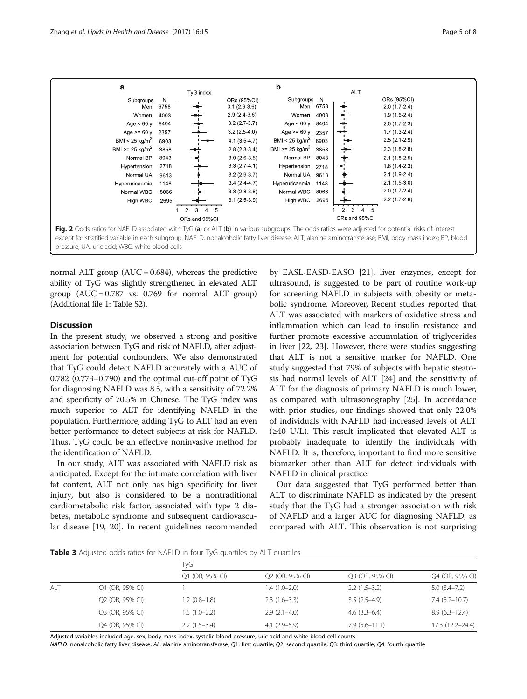<span id="page-4-0"></span>

normal ALT group  $(AUC = 0.684)$ , whereas the predictive ability of TyG was slightly strengthened in elevated ALT group  $(AUC = 0.787$  vs. 0.769 for normal ALT group) (Additional file [1](#page-6-0): Table S2).

# **Discussion**

In the present study, we observed a strong and positive association between TyG and risk of NAFLD, after adjustment for potential confounders. We also demonstrated that TyG could detect NAFLD accurately with a AUC of 0.782 (0.773–0.790) and the optimal cut-off point of TyG for diagnosing NAFLD was 8.5, with a sensitivity of 72.2% and specificity of 70.5% in Chinese. The TyG index was much superior to ALT for identifying NAFLD in the population. Furthermore, adding TyG to ALT had an even better performance to detect subjects at risk for NAFLD. Thus, TyG could be an effective noninvasive method for the identification of NAFLD.

In our study, ALT was associated with NAFLD risk as anticipated. Except for the intimate correlation with liver fat content, ALT not only has high specificity for liver injury, but also is considered to be a nontraditional cardiometabolic risk factor, associated with type 2 diabetes, metabolic syndrome and subsequent cardiovascular disease [[19, 20\]](#page-7-0). In recent guidelines recommended

by EASL-EASD-EASO [\[21\]](#page-7-0), liver enzymes, except for ultrasound, is suggested to be part of routine work-up for screening NAFLD in subjects with obesity or metabolic syndrome. Moreover, Recent studies reported that ALT was associated with markers of oxidative stress and inflammation which can lead to insulin resistance and further promote excessive accumulation of triglycerides in liver [[22, 23](#page-7-0)]. However, there were studies suggesting that ALT is not a sensitive marker for NAFLD. One study suggested that 79% of subjects with hepatic steatosis had normal levels of ALT [[24\]](#page-7-0) and the sensitivity of ALT for the diagnosis of primary NAFLD is much lower, as compared with ultrasonography [[25](#page-7-0)]. In accordance with prior studies, our findings showed that only 22.0% of individuals with NAFLD had increased levels of ALT  $(\geq 40 \text{ U/L})$ . This result implicated that elevated ALT is probably inadequate to identify the individuals with NAFLD. It is, therefore, important to find more sensitive biomarker other than ALT for detect individuals with NAFLD in clinical practice.

Our data suggested that TyG performed better than ALT to discriminate NAFLD as indicated by the present study that the TyG had a stronger association with risk of NAFLD and a larger AUC for diagnosing NAFLD, as compared with ALT. This observation is not surprising

Table 3 Adjusted odds ratios for NAFLD in four TyG quartiles by ALT quartiles

|     |                 | TyG             |                 |                   |                   |  |
|-----|-----------------|-----------------|-----------------|-------------------|-------------------|--|
|     |                 | Q1 (OR, 95% CI) | Q2 (OR, 95% CI) | Q3 (OR, 95% CI)   | Q4 (OR, 95% CI)   |  |
| ALT | Q1 (OR, 95% CI) |                 | $1.4(1.0-2.0)$  | $2.2(1.5-3.2)$    | $5.0(3.4 - 7.2)$  |  |
|     | Q2 (OR, 95% CI) | $1.2(0.8-1.8)$  | $2.3(1.6-3.3)$  | $3.5(2.5-4.9)$    | $7.4(5.2 - 10.7)$ |  |
|     | Q3 (OR, 95% CI) | $1.5(1.0-2.2)$  | $2.9(2.1-4.0)$  | $4.6(3.3-6.4)$    | $8.9(6.3-12.4)$   |  |
|     | Q4 (OR, 95% CI) | $2.2(1.5-3.4)$  | $4.1(2.9-5.9)$  | $7.9(5.6 - 11.1)$ | 17.3 (12.2-24.4)  |  |

Adjusted variables included age, sex, body mass index, systolic blood pressure, uric acid and white blood cell counts

NAFLD: nonalcoholic fatty liver disease; AL: alanine aminotransferase; Q1: first quartile; Q2: second quartile; Q3: third quartile; Q4: fourth quartile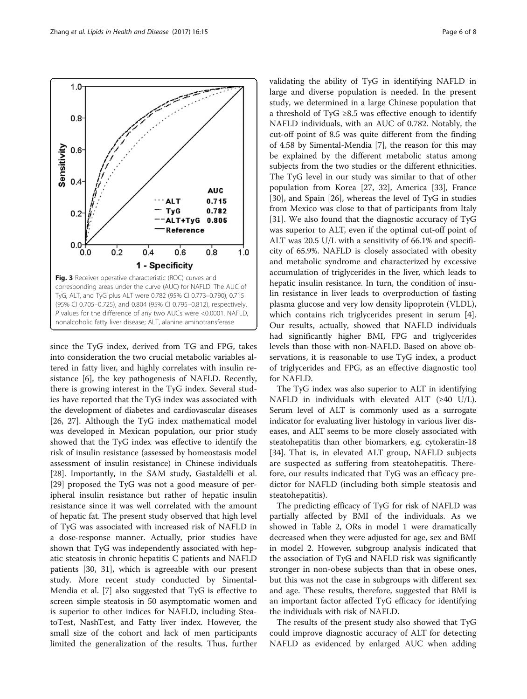<span id="page-5-0"></span>

since the TyG index, derived from TG and FPG, takes into consideration the two crucial metabolic variables altered in fatty liver, and highly correlates with insulin resistance [\[6\]](#page-7-0), the key pathogenesis of NAFLD. Recently, there is growing interest in the TyG index. Several studies have reported that the TyG index was associated with the development of diabetes and cardiovascular diseases [[26, 27](#page-7-0)]. Although the TyG index mathematical model was developed in Mexican population, our prior study showed that the TyG index was effective to identify the risk of insulin resistance (assessed by homeostasis model assessment of insulin resistance) in Chinese individuals [[28\]](#page-7-0). Importantly, in the SAM study, Gastaldelli et al. [[29\]](#page-7-0) proposed the TyG was not a good measure of peripheral insulin resistance but rather of hepatic insulin resistance since it was well correlated with the amount of hepatic fat. The present study observed that high level of TyG was associated with increased risk of NAFLD in a dose-response manner. Actually, prior studies have shown that TyG was independently associated with hepatic steatosis in chronic hepatitis C patients and NAFLD patients [\[30, 31\]](#page-7-0), which is agreeable with our present study. More recent study conducted by Simental-Mendia et al. [[7\]](#page-7-0) also suggested that TyG is effective to screen simple steatosis in 50 asymptomatic women and is superior to other indices for NAFLD, including SteatoTest, NashTest, and Fatty liver index. However, the small size of the cohort and lack of men participants limited the generalization of the results. Thus, further validating the ability of TyG in identifying NAFLD in large and diverse population is needed. In the present study, we determined in a large Chinese population that a threshold of TyG  $\geq$ 8.5 was effective enough to identify NAFLD individuals, with an AUC of 0.782. Notably, the cut-off point of 8.5 was quite different from the finding of 4.58 by Simental-Mendia [\[7\]](#page-7-0), the reason for this may be explained by the different metabolic status among subjects from the two studies or the different ethnicities. The TyG level in our study was similar to that of other population from Korea [\[27, 32\]](#page-7-0), America [\[33\]](#page-7-0), France [[30\]](#page-7-0), and Spain [[26\]](#page-7-0), whereas the level of TyG in studies from Mexico was close to that of participants from Italy [[31\]](#page-7-0). We also found that the diagnostic accuracy of TyG was superior to ALT, even if the optimal cut-off point of ALT was 20.5 U/L with a sensitivity of 66.1% and specificity of 65.9%. NAFLD is closely associated with obesity and metabolic syndrome and characterized by excessive accumulation of triglycerides in the liver, which leads to hepatic insulin resistance. In turn, the condition of insulin resistance in liver leads to overproduction of fasting plasma glucose and very low density lipoprotein (VLDL), which contains rich triglycerides present in serum [\[4](#page-7-0)]. Our results, actually, showed that NAFLD individuals had significantly higher BMI, FPG and triglycerides levels than those with non-NAFLD. Based on above observations, it is reasonable to use TyG index, a product of triglycerides and FPG, as an effective diagnostic tool for NAFLD.

The TyG index was also superior to ALT in identifying NAFLD in individuals with elevated ALT (≥40 U/L). Serum level of ALT is commonly used as a surrogate indicator for evaluating liver histology in various liver diseases, and ALT seems to be more closely associated with steatohepatitis than other biomarkers, e.g. cytokeratin-18 [[34](#page-7-0)]. That is, in elevated ALT group, NAFLD subjects are suspected as suffering from steatohepatitis. Therefore, our results indicated that TyG was an efficacy predictor for NAFLD (including both simple steatosis and steatohepatitis).

The predicting efficacy of TyG for risk of NAFLD was partially affected by BMI of the individuals. As we showed in Table [2](#page-3-0), ORs in model 1 were dramatically decreased when they were adjusted for age, sex and BMI in model 2. However, subgroup analysis indicated that the association of TyG and NAFLD risk was significantly stronger in non-obese subjects than that in obese ones, but this was not the case in subgroups with different sex and age. These results, therefore, suggested that BMI is an important factor affected TyG efficacy for identifying the individuals with risk of NAFLD.

The results of the present study also showed that TyG could improve diagnostic accuracy of ALT for detecting NAFLD as evidenced by enlarged AUC when adding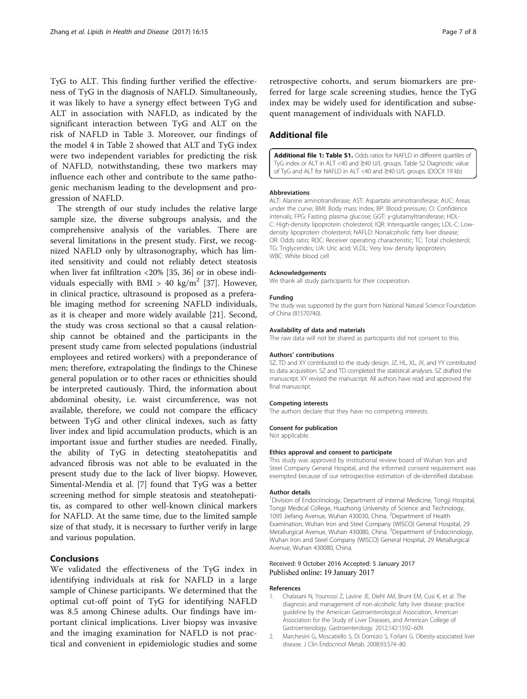<span id="page-6-0"></span>TyG to ALT. This finding further verified the effectiveness of TyG in the diagnosis of NAFLD. Simultaneously, it was likely to have a synergy effect between TyG and ALT in association with NAFLD, as indicated by the significant interaction between TyG and ALT on the risk of NAFLD in Table [3.](#page-4-0) Moreover, our findings of the model 4 in Table [2](#page-3-0) showed that ALT and TyG index were two independent variables for predicting the risk of NAFLD, notwithstanding, these two markers may influence each other and contribute to the same pathogenic mechanism leading to the development and progression of NAFLD.

The strength of our study includes the relative large sample size, the diverse subgroups analysis, and the comprehensive analysis of the variables. There are several limitations in the present study. First, we recognized NAFLD only by ultrasonography, which has limited sensitivity and could not reliably detect steatosis when liver fat infiltration <20% [\[35, 36\]](#page-7-0) or in obese indi-viduals especially with BMI > 40 kg/m<sup>2</sup> [\[37\]](#page-7-0). However, in clinical practice, ultrasound is proposed as a preferable imaging method for screening NAFLD individuals, as it is cheaper and more widely available [[21\]](#page-7-0). Second, the study was cross sectional so that a causal relationship cannot be obtained and the participants in the present study came from selected populations (industrial employees and retired workers) with a preponderance of men; therefore, extrapolating the findings to the Chinese general population or to other races or ethnicities should be interpreted cautiously. Third, the information about abdominal obesity, i.e. waist circumference, was not available, therefore, we could not compare the efficacy between TyG and other clinical indexes, such as fatty liver index and lipid accumulation products, which is an important issue and further studies are needed. Finally, the ability of TyG in detecting steatohepatitis and advanced fibrosis was not able to be evaluated in the present study due to the lack of liver biopsy. However, Simental-Mendia et al. [\[7](#page-7-0)] found that TyG was a better screening method for simple steatosis and steatohepatitis, as compared to other well-known clinical markers for NAFLD. At the same time, due to the limited sample size of that study, it is necessary to further verify in large and various population.

# Conclusions

We validated the effectiveness of the TyG index in identifying individuals at risk for NAFLD in a large sample of Chinese participants. We determined that the optimal cut-off point of TyG for identifying NAFLD was 8.5 among Chinese adults. Our findings have important clinical implications. Liver biopsy was invasive and the imaging examination for NAFLD is not practical and convenient in epidemiologic studies and some retrospective cohorts, and serum biomarkers are preferred for large scale screening studies, hence the TyG index may be widely used for identification and subsequent management of individuals with NAFLD.

## Additional file

[Additional file 1: Table S1.](dx.doi.org/10.1186/s12944-017-0409-6) Odds ratios for NAFLD in different quartiles of TyG index or ALT in ALT <40 and ≥40 U/L groups. Table S2 Diagnostic value of TyG and ALT for NAFLD in ALT <40 and ≥40 U/L groups. (DOCX 19 kb)

#### Abbreviations

ALT: Alanine aminotransferase; AST: Aspartate aminotransferase; AUC: Areas under the curve; BMI: Body mass index; BP: Blood pressure; CI: Confidence intervals; FPG: Fasting plasma glucose; GGT: γ-glutamyltransferase; HDL-C: High-density lipoprotein cholesterol; IQR: Interquartile ranges; LDL-C: Lowdensity lipoprotein cholesterol; NAFLD: Nonalcoholic fatty liver disease; OR: Odds ratio; ROC: Receiver operating characteristic; TC: Total cholesterol; TG: Triglycerides; UA: Uric acid; VLDL: Very low density lipoprotein; WBC: White blood cell

#### Acknowledgements

We thank all study participants for their cooperation.

#### Funding

The study was supported by the grant from National Natural Science Foundation of China (81570740).

#### Availability of data and materials

The raw data will not be shared as participants did not consent to this.

#### Authors' contributions

SZ, TD and XY contributed to the study design. JZ, HL, XL, JX, and YY contributed to data acquisition. SZ and TD completed the statistical analyses. SZ drafted the manuscript. XY revised the manuscript. All authors have read and approved the final manuscript.

#### Competing interests

The authors declare that they have no competing interests.

#### Consent for publication

Not applicable.

#### Ethics approval and consent to participate

This study was approved by institutional review board of Wuhan Iron and Steel Company General Hospital, and the informed consent requirement was exempted because of our retrospective estimation of de-identified database.

#### Author details

<sup>1</sup> Division of Endocrinology, Department of Internal Medicine, Tongji Hospital, Tongji Medical College, Huazhong University of Science and Technology, 1095 Jiefang Avenue, Wuhan 430030, China. <sup>2</sup> Department of Health Examination, Wuhan Iron and Steel Company (WISCO) General Hospital, 29 Metallurgical Avenue, Wuhan 430080, China. <sup>3</sup>Department of Endocrinology Wuhan Iron and Steel Company (WISCO) General Hospital, 29 Metallurgical Avenue, Wuhan 430080, China.

#### Received: 9 October 2016 Accepted: 5 January 2017 Published online: 19 January 2017

#### References

- 1. Chalasani N, Younossi Z, Lavine JE, Diehl AM, Brunt EM, Cusi K, et al. The diagnosis and management of non-alcoholic fatty liver disease: practice guideline by the American Gastroenterological Association, American Association for the Study of Liver Diseases, and American College of Gastroenterology. Gastroenterology. 2012;142:1592–609.
- 2. Marchesini G, Moscatiello S, Di Domizio S, Forlani G. Obesity-associated liver disease. J Clin Endocrinol Metab. 2008;93:S74–80.